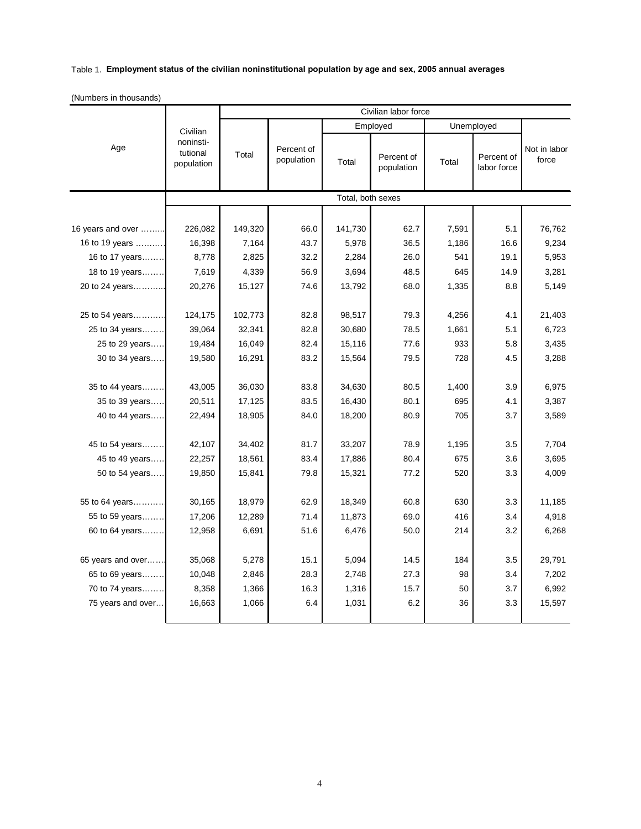## Table 1. **Employment status of the civilian noninstitutional population by age and sex, 2005 annual averages**

|  |  | (Numbers in thousands) |
|--|--|------------------------|
|--|--|------------------------|

|                   | Civilian<br>noninsti-<br>tutional<br>population | Civilian labor force |                          |                   |                          |            |                           |                       |  |
|-------------------|-------------------------------------------------|----------------------|--------------------------|-------------------|--------------------------|------------|---------------------------|-----------------------|--|
|                   |                                                 |                      |                          | Employed          |                          | Unemployed |                           |                       |  |
| Age               |                                                 | Total                | Percent of<br>population | Total             | Percent of<br>population | Total      | Percent of<br>labor force | Not in labor<br>force |  |
|                   |                                                 |                      |                          | Total, both sexes |                          |            |                           |                       |  |
|                   |                                                 |                      |                          |                   |                          |            |                           |                       |  |
| 16 years and over | 226,082                                         | 149,320              | 66.0                     | 141,730           | 62.7                     | 7,591      | 5.1                       | 76,762                |  |
| 16 to 19 years    | 16,398                                          | 7,164                | 43.7                     | 5,978             | 36.5                     | 1,186      | 16.6                      | 9,234                 |  |
| 16 to 17 years    | 8,778                                           | 2,825                | 32.2                     | 2,284             | 26.0                     | 541        | 19.1                      | 5,953                 |  |
| 18 to 19 years    | 7,619                                           | 4,339                | 56.9                     | 3,694             | 48.5                     | 645        | 14.9                      | 3,281                 |  |
| 20 to 24 years    | 20,276                                          | 15,127               | 74.6                     | 13,792            | 68.0                     | 1,335      | 8.8                       | 5,149                 |  |
|                   |                                                 |                      |                          |                   |                          |            |                           |                       |  |
| 25 to 54 years    | 124,175                                         | 102,773              | 82.8                     | 98,517            | 79.3                     | 4,256      | 4.1                       | 21,403                |  |
| 25 to 34 years    | 39,064                                          | 32,341               | 82.8                     | 30,680            | 78.5                     | 1,661      | 5.1                       | 6,723                 |  |
| 25 to 29 years    | 19,484                                          | 16,049               | 82.4                     | 15,116            | 77.6                     | 933        | 5.8                       | 3,435                 |  |
| 30 to 34 years    | 19,580                                          | 16,291               | 83.2                     | 15,564            | 79.5                     | 728        | 4.5                       | 3,288                 |  |
|                   |                                                 |                      |                          |                   |                          |            |                           |                       |  |
| 35 to 44 years    | 43,005                                          | 36,030               | 83.8                     | 34,630            | 80.5                     | 1,400      | 3.9                       | 6,975                 |  |
| 35 to 39 years    | 20,511                                          | 17,125               | 83.5                     | 16,430            | 80.1                     | 695        | 4.1                       | 3,387                 |  |
| 40 to 44 years    | 22,494                                          | 18,905               | 84.0                     | 18,200            | 80.9                     | 705        | 3.7                       | 3,589                 |  |
|                   |                                                 |                      |                          |                   |                          |            |                           |                       |  |
| 45 to 54 years    | 42,107                                          | 34,402               | 81.7                     | 33,207            | 78.9                     | 1,195      | 3.5                       | 7,704                 |  |
| 45 to 49 years    | 22,257                                          | 18,561               | 83.4                     | 17,886            | 80.4                     | 675        | 3.6                       | 3,695                 |  |
| 50 to 54 years    | 19,850                                          | 15,841               | 79.8                     | 15,321            | 77.2                     | 520        | 3.3                       | 4,009                 |  |
|                   |                                                 |                      |                          |                   |                          |            |                           |                       |  |
| 55 to 64 years    | 30,165                                          | 18,979               | 62.9                     | 18,349            | 60.8                     | 630        | 3.3                       | 11,185                |  |
| 55 to 59 years    | 17,206                                          | 12,289               | 71.4                     | 11,873            | 69.0                     | 416        | 3.4                       | 4,918                 |  |
| 60 to 64 years    | 12,958                                          | 6,691                | 51.6                     | 6,476             | 50.0                     | 214        | 3.2                       | 6,268                 |  |
|                   |                                                 |                      |                          |                   |                          |            |                           |                       |  |
| 65 years and over | 35,068                                          | 5,278                | 15.1                     | 5,094             | 14.5                     | 184        | 3.5                       | 29,791                |  |
| 65 to 69 years    | 10,048                                          | 2,846                | 28.3                     | 2,748             | 27.3                     | 98         | 3.4                       | 7,202                 |  |
| 70 to 74 years    | 8,358                                           | 1,366                | 16.3                     | 1,316             | 15.7                     | 50         | 3.7                       | 6,992                 |  |
| 75 years and over | 16,663                                          | 1,066                | 6.4                      | 1,031             | 6.2                      | 36         | 3.3                       | 15,597                |  |
|                   |                                                 |                      |                          |                   |                          |            |                           |                       |  |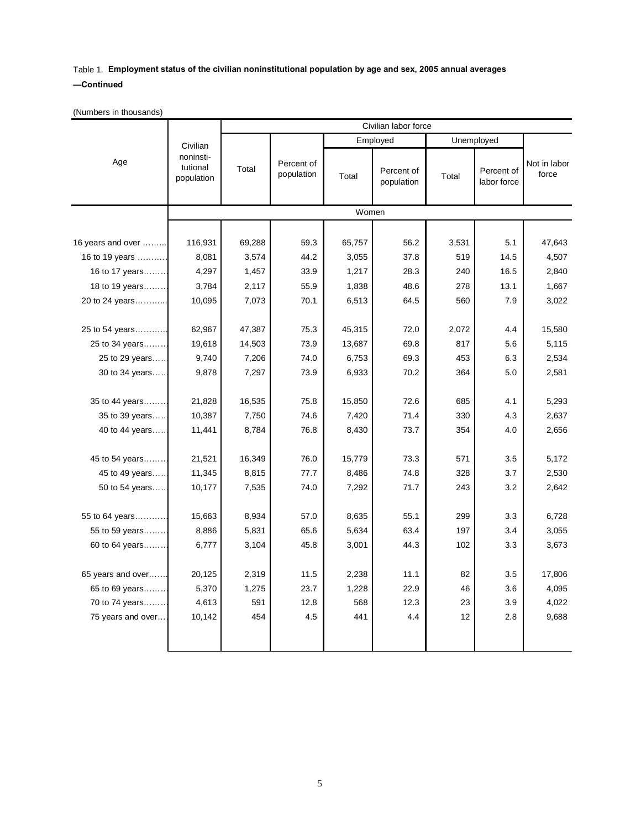## Table 1. **Employment status of the civilian noninstitutional population by age and sex, 2005 annual averages —Continued**

(Numbers in thousands)

|                   |                                                 | Civilian labor force |                          |          |                          |            |                           |                       |  |
|-------------------|-------------------------------------------------|----------------------|--------------------------|----------|--------------------------|------------|---------------------------|-----------------------|--|
|                   | Civilian<br>noninsti-<br>tutional<br>population |                      |                          | Employed |                          | Unemployed |                           |                       |  |
| Age               |                                                 | Total                | Percent of<br>population | Total    | Percent of<br>population | Total      | Percent of<br>labor force | Not in labor<br>force |  |
|                   |                                                 | Women                |                          |          |                          |            |                           |                       |  |
|                   |                                                 |                      |                          |          |                          |            |                           |                       |  |
| 16 years and over | 116,931                                         | 69,288               | 59.3                     | 65,757   | 56.2                     | 3,531      | 5.1                       | 47,643                |  |
| 16 to 19 years    | 8,081                                           | 3,574                | 44.2                     | 3,055    | 37.8                     | 519        | 14.5                      | 4,507                 |  |
| 16 to 17 years    | 4,297                                           | 1,457                | 33.9                     | 1,217    | 28.3                     | 240        | 16.5                      | 2,840                 |  |
| 18 to 19 years    | 3,784                                           | 2,117                | 55.9                     | 1,838    | 48.6                     | 278        | 13.1                      | 1,667                 |  |
| 20 to 24 years    | 10,095                                          | 7,073                | 70.1                     | 6,513    | 64.5                     | 560        | 7.9                       | 3,022                 |  |
|                   |                                                 |                      |                          |          |                          |            |                           |                       |  |
| 25 to 54 years    | 62,967                                          | 47,387               | 75.3                     | 45,315   | 72.0                     | 2,072      | 4.4                       | 15,580                |  |
| 25 to 34 years    | 19,618                                          | 14,503               | 73.9                     | 13,687   | 69.8                     | 817        | 5.6                       | 5,115                 |  |
| 25 to 29 years    | 9,740                                           | 7,206                | 74.0                     | 6,753    | 69.3                     | 453        | 6.3                       | 2,534                 |  |
| 30 to 34 years    | 9,878                                           | 7,297                | 73.9                     | 6,933    | 70.2                     | 364        | 5.0                       | 2,581                 |  |
|                   |                                                 |                      |                          |          |                          |            |                           |                       |  |
| 35 to 44 years    | 21,828                                          | 16,535               | 75.8                     | 15,850   | 72.6                     | 685        | 4.1                       | 5,293                 |  |
| 35 to 39 years    | 10,387                                          | 7,750                | 74.6                     | 7,420    | 71.4                     | 330        | 4.3                       | 2,637                 |  |
| 40 to 44 years    | 11,441                                          | 8,784                | 76.8                     | 8,430    | 73.7                     | 354        | 4.0                       | 2,656                 |  |
|                   |                                                 |                      |                          |          |                          |            |                           |                       |  |
| 45 to 54 years    | 21,521                                          | 16,349               | 76.0                     | 15,779   | 73.3                     | 571        | 3.5                       | 5,172                 |  |
| 45 to 49 years    | 11,345                                          | 8,815                | 77.7                     | 8,486    | 74.8                     | 328        | 3.7                       | 2,530                 |  |
| 50 to 54 years    | 10,177                                          | 7,535                | 74.0                     | 7,292    | 71.7                     | 243        | 3.2                       | 2,642                 |  |
|                   |                                                 |                      |                          |          |                          |            |                           |                       |  |
| 55 to 64 years    | 15,663                                          | 8,934                | 57.0                     | 8,635    | 55.1                     | 299        | 3.3                       | 6,728                 |  |
| 55 to 59 years    | 8,886                                           | 5,831                | 65.6                     | 5,634    | 63.4                     | 197        | 3.4                       | 3,055                 |  |
| 60 to 64 years    | 6,777                                           | 3,104                | 45.8                     | 3,001    | 44.3                     | 102        | 3.3                       | 3,673                 |  |
|                   |                                                 |                      |                          |          |                          |            |                           |                       |  |
| 65 years and over | 20,125                                          | 2,319                | 11.5                     | 2,238    | 11.1                     | 82         | 3.5                       | 17,806                |  |
| 65 to 69 years    | 5,370                                           | 1,275                | 23.7                     | 1,228    | 22.9                     | 46         | 3.6                       | 4,095                 |  |
| 70 to 74 years    | 4,613                                           | 591                  | 12.8                     | 568      | 12.3                     | 23         | 3.9                       | 4,022                 |  |
| 75 years and over | 10,142                                          | 454                  | 4.5                      | 441      | 4.4                      | 12         | 2.8                       | 9,688                 |  |
|                   |                                                 |                      |                          |          |                          |            |                           |                       |  |
|                   |                                                 |                      |                          |          |                          |            |                           |                       |  |